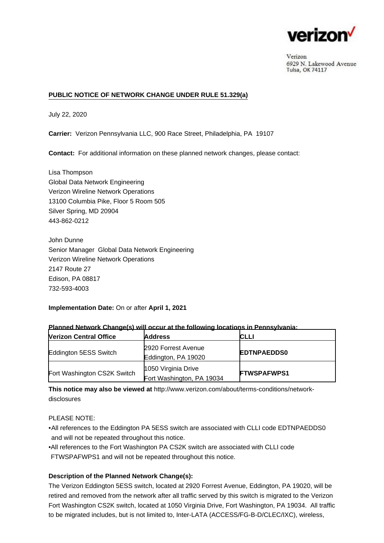

Verizon 6929 N. Lakewood Avenue Tulsa, OK 74117

## **PUBLIC NOTICE OF NETWORK CHANGE UNDER RULE 51.329(a)**

July 22, 2020

**Carrier:** Verizon Pennsylvania LLC, 900 Race Street, Philadelphia, PA 19107

**Contact:** For additional information on these planned network changes, please contact:

Lisa Thompson Global Data Network Engineering Verizon Wireline Network Operations 13100 Columbia Pike, Floor 5 Room 505 Silver Spring, MD 20904 443-862-0212

John Dunne Senior Manager Global Data Network Engineering Verizon Wireline Network Operations 2147 Route 27 Edison, PA 08817 732-593-4003

**Implementation Date:** On or after **April 1, 2021**

| <b>Nerizon Central Office</b> | <b>Address</b>                                   | <b>CLLI</b>        |
|-------------------------------|--------------------------------------------------|--------------------|
| Eddington 5ESS Switch         | 2920 Forrest Avenue<br>Eddington, PA 19020       | <b>EDTNPAEDDS0</b> |
| Fort Washington CS2K Switch   | 1050 Virginia Drive<br>Fort Washington, PA 19034 | <b>FTWSPAFWPS1</b> |

## **Planned Network Change(s) will occur at the following locations in Pennsylvania:**

**This notice may also be viewed at** [http://www.verizon.com/about/terms-conditions/network](http://www.verizon.com/about/terms-conditions/network-disclosures)[disclosures](http://www.verizon.com/about/terms-conditions/network-disclosures)

PLEASE NOTE:

- •All references to the Eddington PA 5ESS switch are associated with CLLI code EDTNPAEDDS0 and will not be repeated throughout this notice.
- All references to the Fort Washington PA CS2K switch are associated with CLLI code FTWSPAFWPS1 and will not be repeated throughout this notice.

## **Description of the Planned Network Change(s):**

The Verizon Eddington 5ESS switch, located at 2920 Forrest Avenue, Eddington, PA 19020, will be retired and removed from the network after all traffic served by this switch is migrated to the Verizon Fort Washington CS2K switch, located at 1050 Virginia Drive, Fort Washington, PA 19034. All traffic to be migrated includes, but is not limited to, Inter-LATA (ACCESS/FG-B-D/CLEC/IXC), wireless,